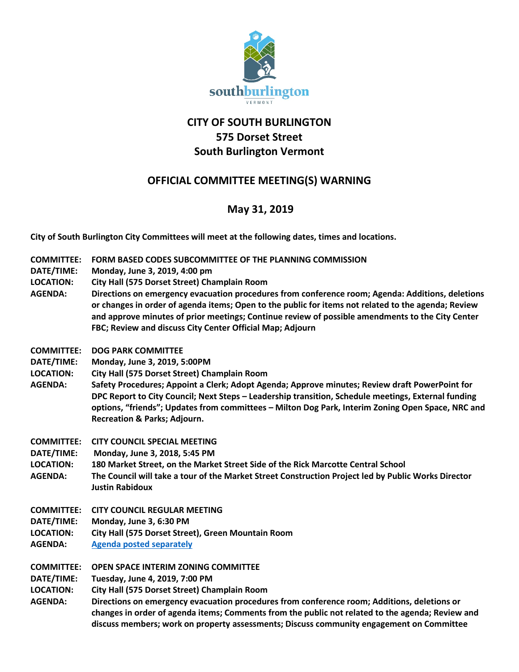

## **CITY OF SOUTH BURLINGTON 575 Dorset Street South Burlington Vermont**

## **OFFICIAL COMMITTEE MEETING(S) WARNING**

## **May 31, 2019**

**City of South Burlington City Committees will meet at the following dates, times and locations.** 

- **COMMITTEE: FORM BASED CODES SUBCOMMITTEE OF THE PLANNING COMMISSION**
- **DATE/TIME: Monday, June 3, 2019, 4:00 pm**
- **LOCATION: City Hall (575 Dorset Street) Champlain Room**
- **AGENDA: Directions on emergency evacuation procedures from conference room; Agenda: Additions, deletions or changes in order of agenda items; Open to the public for items not related to the agenda; Review and approve minutes of prior meetings; Continue review of possible amendments to the City Center FBC; Review and discuss City Center Official Map; Adjourn**
- **COMMITTEE: DOG PARK COMMITTEE**
- **DATE/TIME: Monday, June 3, 2019, 5:00PM**
- **LOCATION: City Hall (575 Dorset Street) Champlain Room**
- **AGENDA: Safety Procedures; Appoint a Clerk; Adopt Agenda; Approve minutes; Review draft PowerPoint for DPC Report to City Council; Next Steps – Leadership transition, Schedule meetings, External funding options, "friends"; Updates from committees – Milton Dog Park, Interim Zoning Open Space, NRC and Recreation & Parks; Adjourn.**
- **COMMITTEE: CITY COUNCIL SPECIAL MEETING**
- **DATE/TIME: Monday, June 3, 2018, 5:45 PM**
- **LOCATION: 180 Market Street, on the Market Street Side of the Rick Marcotte Central School**
- **AGENDA: The Council will take a tour of the Market Street Construction Project led by Public Works Director Justin Rabidoux**
- **COMMITTEE: CITY COUNCIL REGULAR MEETING**
- **DATE/TIME: Monday, June 3, 6:30 PM**
- **LOCATION: City Hall (575 Dorset Street), Green Mountain Room**
- **AGENDA: [Agenda posted separately](https://clerkshq.com/SouthBurlington-vt)**

**COMMITTEE: OPEN SPACE INTERIM ZONING COMMITTEE**

- **DATE/TIME: Tuesday, June 4, 2019, 7:00 PM**
- **LOCATION: City Hall (575 Dorset Street) Champlain Room**
- **AGENDA: Directions on emergency evacuation procedures from conference room; Additions, deletions or changes in order of agenda items; Comments from the public not related to the agenda; Review and discuss members; work on property assessments; Discuss community engagement on Committee**